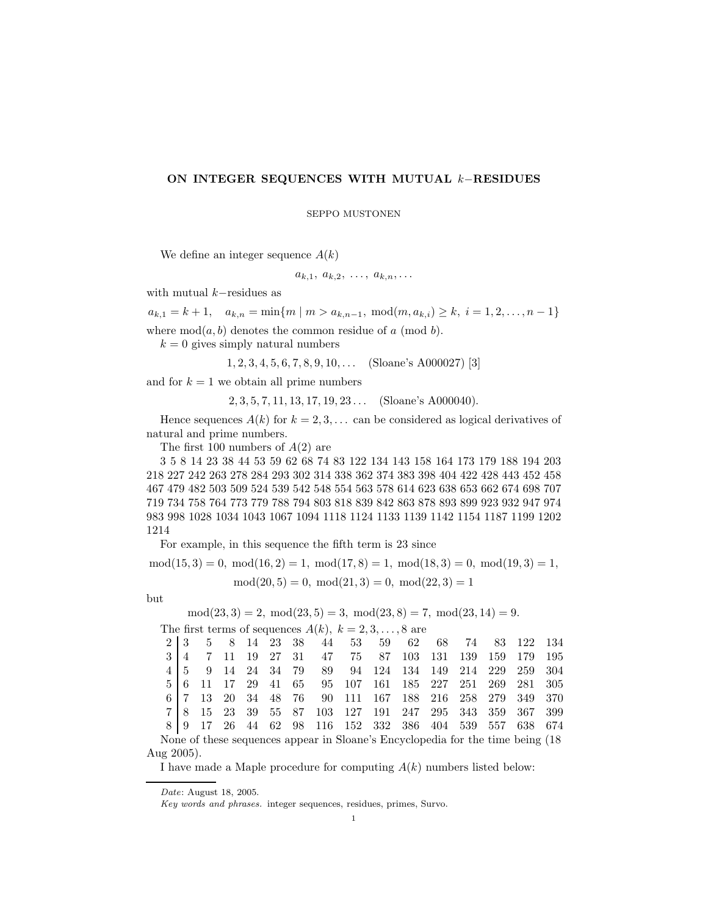# **ON INTEGER SEQUENCES WITH MUTUAL** *k*−**RESIDUES**

#### SEPPO MUSTONEN

We define an integer sequence *A*(*k*)

 $a_{k,1}, a_{k,2}, \ldots, a_{k,n}, \ldots$ 

with mutual *k*−residues as

 $a_{k,1} = k + 1$ ,  $a_{k,n} = \min\{m \mid m > a_{k,n-1}, \mod(m, a_{k,i}) \geq k, i = 1, 2, \ldots, n-1\}$ where  $mod(a, b)$  denotes the common residue of *a* (mod *b*).

 $k = 0$  gives simply natural numbers

1*,* 2*,* 3*,* 4*,* 5*,* 6*,* 7*,* 8*,* 9*,* 10*,...* (Sloane's A000027) [3]

and for  $k = 1$  we obtain all prime numbers

2*,* 3*,* 5*,* 7*,* 11*,* 13*,* 17*,* 19*,* 23 *...* (Sloane's A000040)*.*

Hence sequences  $A(k)$  for  $k = 2, 3, \ldots$  can be considered as logical derivatives of natural and prime numbers.

The first 100 numbers of *A*(2) are

3 5 8 14 23 38 44 53 59 62 68 74 83 122 134 143 158 164 173 179 188 194 203 218 227 242 263 278 284 293 302 314 338 362 374 383 398 404 422 428 443 452 458 467 479 482 503 509 524 539 542 548 554 563 578 614 623 638 653 662 674 698 707 719 734 758 764 773 779 788 794 803 818 839 842 863 878 893 899 923 932 947 974 983 998 1028 1034 1043 1067 1094 1118 1124 1133 1139 1142 1154 1187 1199 1202 1214

For example, in this sequence the fifth term is 23 since

 $mod(15,3) = 0$ ,  $mod(16,2) = 1$ ,  $mod(17,8) = 1$ ,  $mod(18,3) = 0$ ,  $mod(19,3) = 1$ ,  $mod(20, 5) = 0$ ,  $mod(21, 3) = 0$ ,  $mod(22, 3) = 1$ 

but

$$
mod(23,3) = 2, mod(23,5) = 3, mod(23,8) = 7, mod(23,14) = 9.
$$

The first terms of sequences  $A(k)$ ,  $k = 2, 3, \ldots, 8$  are

|  |  |  |  | 2 3 5 8 14 23 38 44 53 59 62 68 74 83 122 134            |  |  |  |
|--|--|--|--|----------------------------------------------------------|--|--|--|
|  |  |  |  | 3 4 7 11 19 27 31 47 75 87 103 131 139 159 179 195       |  |  |  |
|  |  |  |  | 4   5 9 14 24 34 79 89 94 124 134 149 214 229 259 304    |  |  |  |
|  |  |  |  | 5 6 11 17 29 41 65 95 107 161 185 227 251 269 281 305    |  |  |  |
|  |  |  |  | 6   7 13 20 34 48 76 90 111 167 188 216 258 279 349 370  |  |  |  |
|  |  |  |  | 7   8 15 23 39 55 87 103 127 191 247 295 343 359 367 399 |  |  |  |
|  |  |  |  | 8   9 17 26 44 62 98 116 152 332 386 404 539 557 638 674 |  |  |  |

None of these sequences appear in Sloane's Encyclopedia for the time being (18 Aug 2005).

I have made a Maple procedure for computing *A*(*k*) numbers listed below:

Date: August 18, 2005.

Key words and phrases. integer sequences, residues, primes, Survo.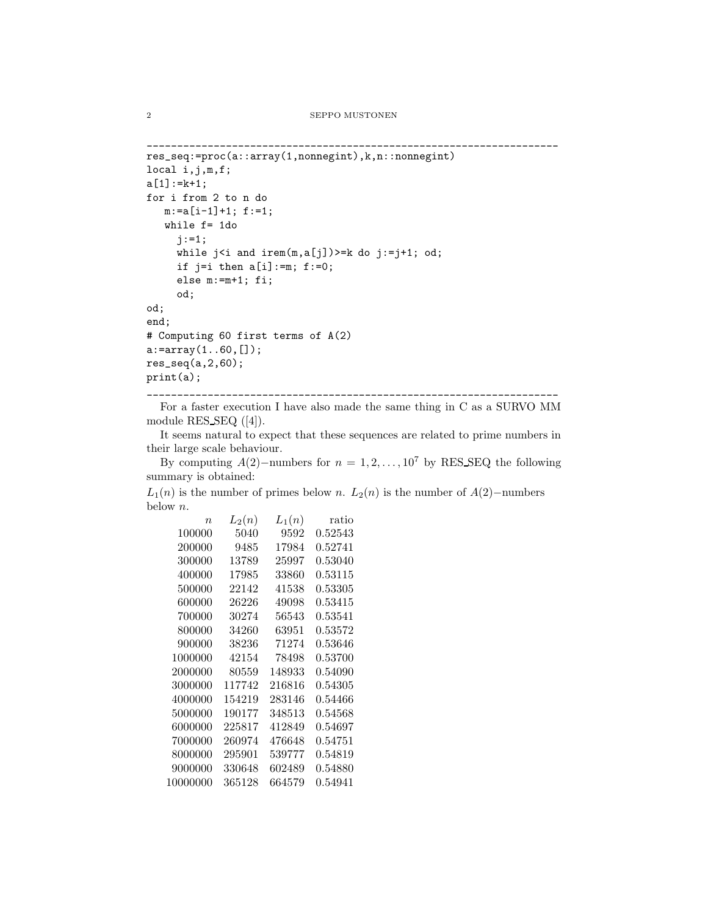```
____________________________________________________________________
res_seq:=proc(a::array(1,nonnegint),k,n::nonnegint)
local i,j,m,f;
a[1]:=k+1;
for i from 2 to n do
   m:=a[i-1]+1; f:=1;
   while f= 1do
     j:=1;
     while j<i and irem(m,a[j])>=k do j:=j+1; od;
     if j=i then a[i]:=m; f:=0;
     else m:=m+1; fi;
     od;
od;
end;
# Computing 60 first terms of A(2)
a:=array(1..60,[]);
res_seq(a,2,60);
print(a);
```
For a faster execution I have also made the same thing in C as a SURVO MM module RES SEQ ([4]).

\_\_\_\_\_\_\_\_\_\_\_\_\_\_\_\_\_\_\_\_\_\_\_\_\_\_\_\_\_\_\_\_\_\_\_\_\_\_\_\_\_\_\_\_\_\_\_\_\_\_\_\_\_\_\_\_\_\_\_\_\_\_\_\_\_\_\_\_

It seems natural to expect that these sequences are related to prime numbers in their large scale behaviour.

By computing *A*(2)−numbers for  $n = 1, 2, ..., 10^7$  by RES SEQ the following summary is obtained:

 $L_1(n)$  is the number of primes below *n*.  $L_2(n)$  is the number of *A*(2)−numbers below *n*.

| $\eta$   | $L_2(n)$ | $L_1(n)$ | ratio           |
|----------|----------|----------|-----------------|
| 100000   | 5040     | 9592     | $\; 0.52543 \;$ |
| 200000   | 9485     | 17984    | 0.52741         |
| 300000   | 13789    | 25997    | 0.53040         |
| 400000   | 17985    | 33860    | 0.53115         |
| 500000   | 22142    | 41538    | 0.53305         |
| 600000   | 26226    | 49098    | 0.53415         |
| 700000   | 30274    | 56543    | 0.53541         |
| 800000   | 34260    | 63951    | 0.53572         |
| 900000   | 38236    | 71274    | 0.53646         |
| 1000000  | 42154    | 78498    | 0.53700         |
| 2000000  | 80559    | 148933   | 0.54090         |
| 3000000  | 117742   | 216816   | 0.54305         |
| 4000000  | 154219   | 283146   | 0.54466         |
| 5000000  | 190177   | 348513   | 0.54568         |
| 6000000  | 225817   | 412849   | 0.54697         |
| 7000000  | 260974   | 476648   | 0.54751         |
| 8000000  | 295901   | 539777   | 0.54819         |
| 9000000  | 330648   | 602489   | 0.54880         |
| 10000000 | 365128   | 664579   | 0.54941         |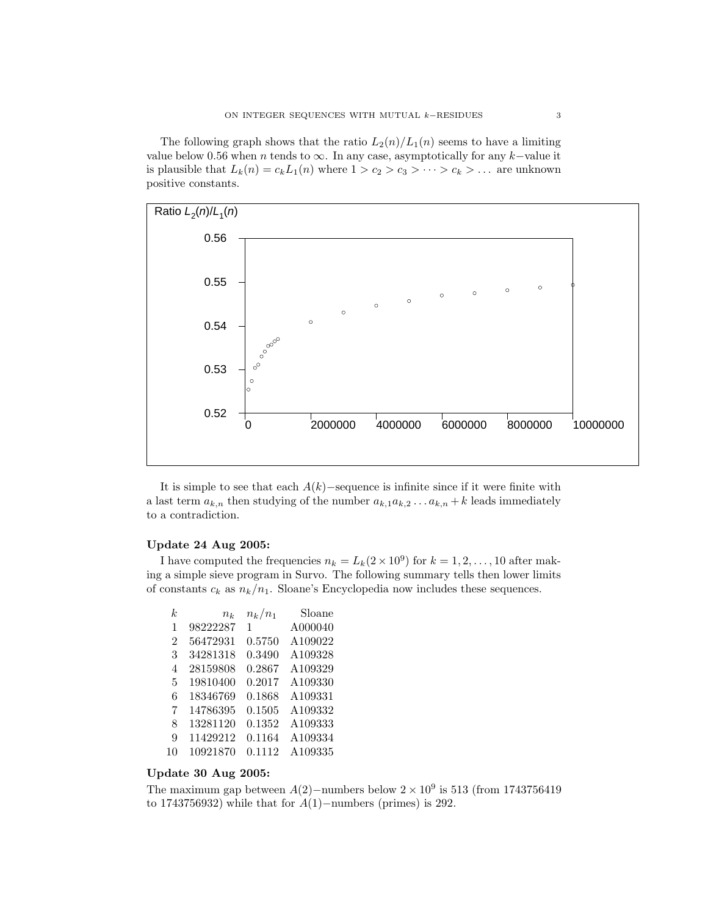The following graph shows that the ratio  $L_2(n)/L_1(n)$  seems to have a limiting value below 0*.*56 when *n* tends to ∞. In any case, asymptotically for any *k*−value it is plausible that  $L_k(n) = c_k L_1(n)$  where  $1 > c_2 > c_3 > \cdots > c_k > \ldots$  are unknown positive constants.



It is simple to see that each *A*(*k*)−sequence is infinite since if it were finite with a last term  $a_{k,n}$  then studying of the number  $a_{k,1}a_{k,2} \ldots a_{k,n} + k$  leads immediately to a contradiction.

## **Update 24 Aug 2005:**

I have computed the frequencies  $n_k = L_k(2 \times 10^9)$  for  $k = 1, 2, \ldots, 10$  after making a simple sieve program in Survo. The following summary tells then lower limits of constants  $c_k$  as  $n_k/n_1$ . Sloane's Encyclopedia now includes these sequences.

| k.             | $n_{k}$  | $n_k/n_1$ | Sloane  |
|----------------|----------|-----------|---------|
| 1              | 98222287 | 1         | A000040 |
| $\overline{2}$ | 56472931 | 0.5750    | A109022 |
| 3              | 34281318 | 0.3490    | A109328 |
| 4              | 28159808 | 0.2867    | A109329 |
| 5              | 19810400 | 0.2017    | A109330 |
| 6              | 18346769 | 0.1868    | A109331 |
| 7              | 14786395 | 0.1505    | A109332 |
| 8              | 13281120 | 0.1352    | A109333 |
| 9              | 11429212 | 0.1164    | A109334 |
| 10             | 10921870 | 0.1112    | A109335 |
|                |          |           |         |

## **Update 30 Aug 2005:**

The maximum gap between  $A(2)$ −numbers below  $2 \times 10^9$  is 513 (from 1743756419 to 1743756932) while that for *A*(1)−numbers (primes) is 292.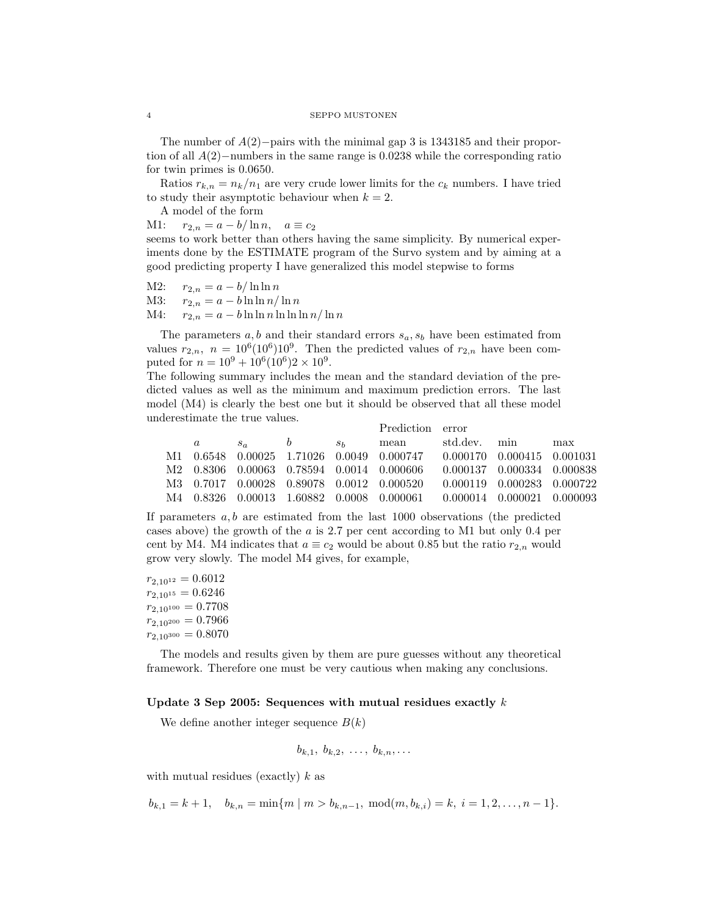The number of *A*(2)−pairs with the minimal gap 3 is 1343185 and their proportion of all *A*(2)−numbers in the same range is 0.0238 while the corresponding ratio for twin primes is 0.0650.

Ratios  $r_{k,n} = n_k/n_1$  are very crude lower limits for the  $c_k$  numbers. I have tried to study their asymptotic behaviour when  $k = 2$ .

A model of the form

M1:  $r_{2,n} = a - b/\ln n, \quad a \equiv c_2$ 

seems to work better than others having the same simplicity. By numerical experiments done by the ESTIMATE program of the Survo system and by aiming at a good predicting property I have generalized this model stepwise to forms

M2:  $r_{2,n} = a - b/\ln \ln n$ <br>M3:  $r_{2,n} = a - b \ln \ln n/$ M3:  $r_{2,n} = a - b \ln \ln n / \ln n$ <br>M4:  $r_{2,n} = a - b \ln \ln n \ln \ln n$  $r_{2,n} = a - b \ln \ln n \ln \ln \ln n / \ln n$ 

The parameters  $a, b$  and their standard errors  $s_a, s_b$  have been estimated from values  $r_{2,n}$ ,  $n = 10^6 (10^6) 10^9$ . Then the predicted values of  $r_{2,n}$  have been computed for  $n = 10^9 + 10^6 (10^6)2 \times 10^9$ .

The following summary includes the mean and the standard deviation of the predicted values as well as the minimum and maximum prediction errors. The last model (M4) is clearly the best one but it should be observed that all these model underestimate the true values. Prediction error

| max                                                                  |
|----------------------------------------------------------------------|
| M1 0.6548 0.00025 1.71026 0.0049 0.000747 0.000170 0.000415 0.001031 |
| M2 0.8306 0.00063 0.78594 0.0014 0.000606 0.000137 0.000334 0.000838 |
| M3 0.7017 0.00028 0.89078 0.0012 0.000520 0.000119 0.000283 0.000722 |
| M4 0.8326 0.00013 1.60882 0.0008 0.000061 0.000014 0.000021 0.000093 |
|                                                                      |

If parameters *a, b* are estimated from the last 1000 observations (the predicted cases above) the growth of the *a* is 2.7 per cent according to M1 but only 0.4 per cent by M4. M4 indicates that  $a \equiv c_2$  would be about 0.85 but the ratio  $r_{2,n}$  would grow very slowly. The model M4 gives, for example,

 $r_{2,10^{12}} = 0.6012$  $r_{2,10^{15}} = 0.6246$  $r_{2,10^{100}} = 0.7708$  $r_{2,10^{200}} = 0.7966$  $r_{2,10^{300}} = 0.8070$ 

The models and results given by them are pure guesses without any theoretical framework. Therefore one must be very cautious when making any conclusions.

#### **Update 3 Sep 2005: Sequences with mutual residues exactly** *k*

We define another integer sequence *B*(*k*)

$$
b_{k,1}, b_{k,2}, \ldots, b_{k,n}, \ldots
$$

with mutual residues (exactly) *k* as

 $b_{k,1} = k + 1$ ,  $b_{k,n} = \min\{m \mid m > b_{k,n-1}, \mod(m, b_{k,i}) = k, i = 1, 2, \ldots, n-1\}.$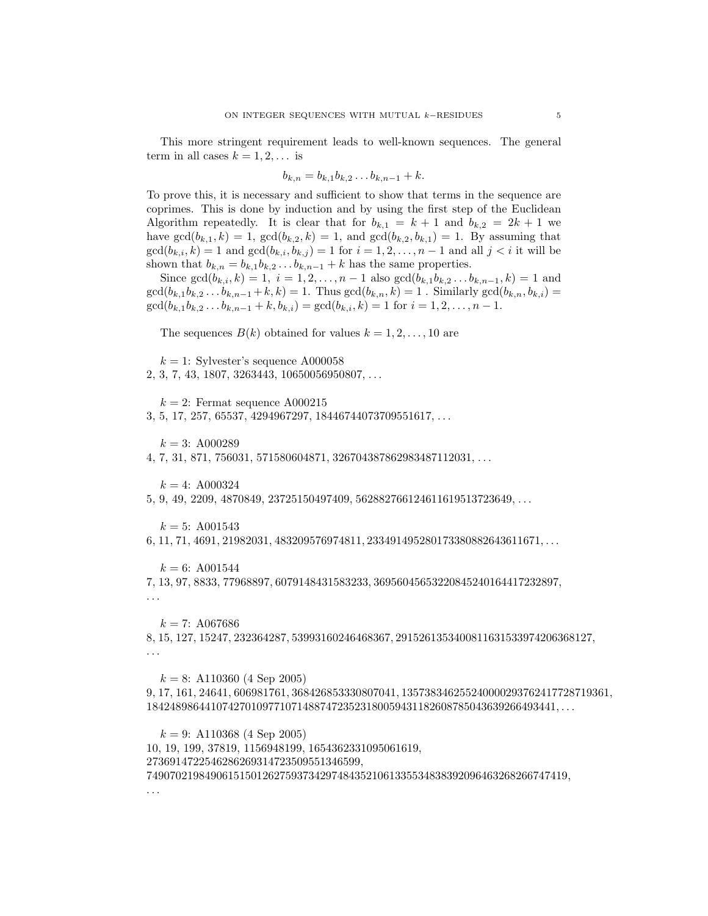This more stringent requirement leads to well-known sequences. The general term in all cases  $k = 1, 2, \ldots$  is

$$
b_{k,n} = b_{k,1}b_{k,2}\ldots b_{k,n-1} + k.
$$

To prove this, it is necessary and sufficient to show that terms in the sequence are coprimes. This is done by induction and by using the first step of the Euclidean Algorithm repeatedly. It is clear that for  $b_{k,1} = k + 1$  and  $b_{k,2} = 2k + 1$  we have  $\gcd(b_{k,1}, k) = 1$ ,  $\gcd(b_{k,2}, k) = 1$ , and  $\gcd(b_{k,2}, b_{k,1}) = 1$ . By assuming that  $gcd(b_{k,i}, k) = 1$  and  $gcd(b_{k,i}, b_{k,j}) = 1$  for  $i = 1, 2, ..., n-1$  and all  $j < i$  it will be shown that  $b_{k,n} = b_{k,1}b_{k,2} \ldots b_{k,n-1} + k$  has the same properties.

Since  $gcd(b_{k,i}, k) = 1, i = 1, 2, ..., n-1$  also  $gcd(b_{k,1}b_{k,2}...b_{k,n-1}, k) = 1$  and  $gcd(b_{k,1}b_{k,2}...b_{k,n-1}+k,k)=1$ . Thus  $gcd(b_{k,n},k)=1$ . Similarly  $gcd(b_{k,n},b_{k,i})=1$  $gcd(b_{k,1}b_{k,2}...b_{k,n-1}+k, b_{k,i}) = gcd(b_{k,i}, k) = 1$  for  $i = 1, 2, ..., n-1$ .

The sequences  $B(k)$  obtained for values  $k = 1, 2, \ldots, 10$  are

 $k = 1$ : Sylvester's sequence A000058

2, 3, 7, 43, 1807, 3263443, 10650056950807, . . .

 $k = 2$ : Fermat sequence A000215

3, 5, 17, 257, 65537, 4294967297, 18446744073709551617, . . .

 $k = 3$ : A000289

4, 7, 31, 871, 756031, 571580604871, 326704387862983487112031, . . .

 $k = 4$ : A000324

 $5, 9, 49, 2209, 4870849, 23725150497409, 562882766124611619513723649, \ldots$ 

 $k = 5$ : A001543

6, 11, 71, 4691, 21982031, 483209576974811, 233491495280173380882643611671, . . .

 $k = 6$ : A001544

7, 13, 97, 8833, 77968897, 6079148431583233, 36956045653220845240164417232897, ...

 $k = 7: A067686$ 

8, 15, 127, 15247, 232364287, 53993160246468367, 2915261353400811631533974206368127, ...

 $k = 8$ : A110360 (4 Sep 2005)

9, 17, 161, 24641, 606981761, 368426853330807041, 135738346255240000293762417728719361, 18424898644107427010977107148874723523180059431182608785043639266493441, . . .

*k* = 9: A110368 (4 Sep 2005) 10, 19, 199, 37819, 1156948199, 1654362331095061619, 2736914722546286269314723509551346599, 7490702198490615150126275937342974843521061335534838392096463268266747419, ...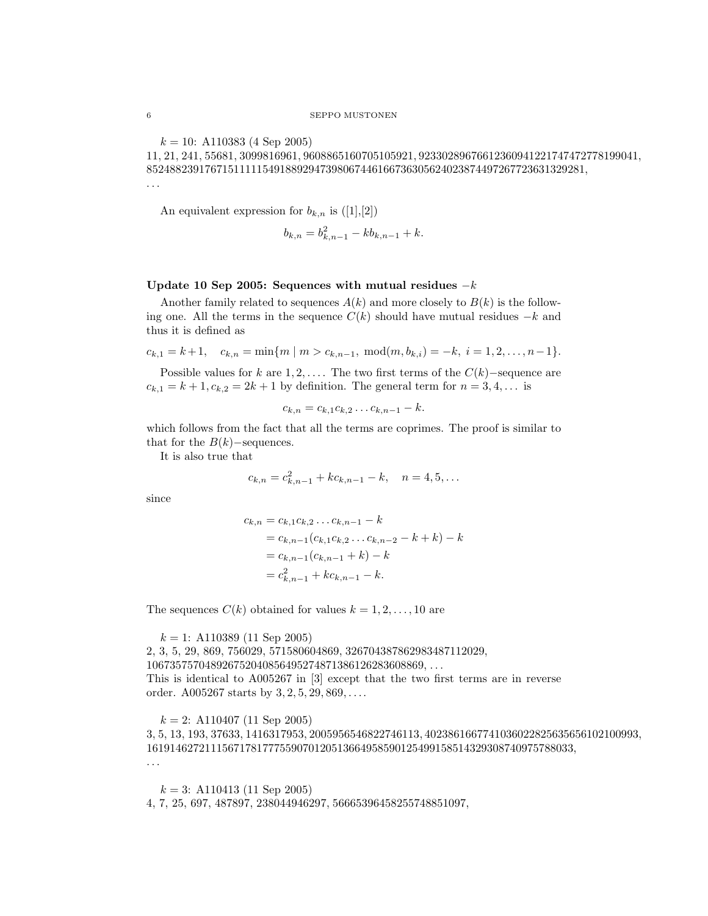$k = 10$ : A110383 (4 Sep 2005)

11, 21, 241, 55681, 3099816961, 9608865160705105921, 92330289676612360941221747472778199041, 8524882391767151111154918892947398067446166736305624023874497267723631329281, ...

An equivalent expression for  $b_{k,n}$  is  $([1],[2])$ 

$$
b_{k,n} = b_{k,n-1}^2 - kb_{k,n-1} + k.
$$

# **Update 10 Sep 2005: Sequences with mutual residues** −*k*

Another family related to sequences  $A(k)$  and more closely to  $B(k)$  is the following one. All the terms in the sequence *C*(*k*) should have mutual residues −*k* and thus it is defined as

$$
c_{k,1} = k+1, \quad c_{k,n} = \min\{m \mid m > c_{k,n-1}, \mod(m, b_{k,i}) = -k, \ i = 1, 2, \ldots, n-1\}.
$$

Possible values for *k* are 1*,* 2*,...* . The two first terms of the *C*(*k*)−sequence are  $c_{k,1} = k + 1, c_{k,2} = 2k + 1$  by definition. The general term for  $n = 3, 4, ...$  is

$$
c_{k,n} = c_{k,1}c_{k,2}\ldots c_{k,n-1} - k.
$$

which follows from the fact that all the terms are coprimes. The proof is similar to that for the  $B(k)$ −sequences.

It is also true that

$$
c_{k,n} = c_{k,n-1}^2 + k c_{k,n-1} - k, \quad n = 4, 5, \dots
$$

since

$$
c_{k,n} = c_{k,1}c_{k,2} \dots c_{k,n-1} - k
$$
  
=  $c_{k,n-1}(c_{k,1}c_{k,2} \dots c_{k,n-2} - k + k) - k$   
=  $c_{k,n-1}(c_{k,n-1} + k) - k$   
=  $c_{k,n-1}^2 + kc_{k,n-1} - k$ .

The sequences  $C(k)$  obtained for values  $k = 1, 2, \ldots, 10$  are

*k* = 1: A110389 (11 Sep 2005)

2, 3, 5, 29, 869, 756029, 571580604869, 326704387862983487112029, 106735757048926752040856495274871386126283608869, . . . This is identical to A005267 in [3] except that the two first terms are in reverse order. A005267 starts by 3*,* 2*,* 5*,* 29*,* 869*,...*.

 $k = 2$ : A110407 (11 Sep 2005)

3, 5, 13, 193, 37633, 1416317953, 2005956546822746113, 4023861667741036022825635656102100993, 16191462721115671781777559070120513664958590125499158514329308740975788033, ...

*k* = 3: A110413 (11 Sep 2005)

4, 7, 25, 697, 487897, 238044946297, 56665396458255748851097,